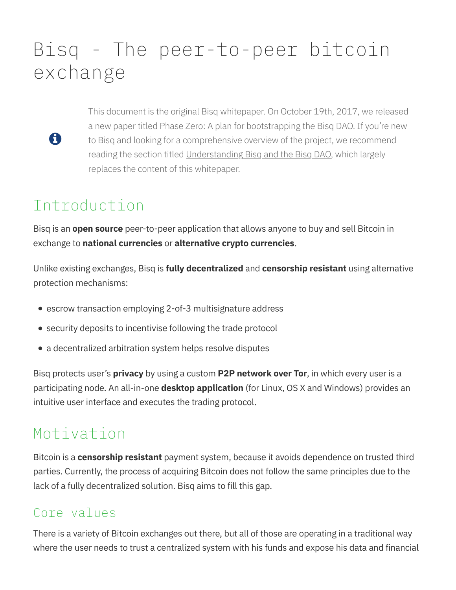# Bisq - The peer-to-peer bitcoin exchange



This document is the original Bisq whitepaper. On October 19th, 2017, we released a new paper titled Phase Zero: A plan for bootstrapping the Bisq DAO. If you're new to Bisq and looking for a comprehensive overview of the project, we recommend reading the section titled Understanding Bisq and the Bisq DAO, which largely replaces the content of this whitepaper.

# Introduction

Bisq is an **open source** peer-to-peer application that allows anyone to buy and sell Bitcoin in exchange to national currencies or alternative crypto currencies.

Unlike existing exchanges, Bisq is **fully decentralized** and **censorship resistant** using alternative protection mechanisms:

- escrow transaction employing 2-of-3 multisignature address
- security deposits to incentivise following the trade protocol
- a decentralized arbitration system helps resolve disputes

Bisq protects user's **privacy** by using a custom **P2P network over Tor**, in which every user is a participating node. An all-in-one **desktop application** (for Linux, OS X and Windows) provides an intuitive user interface and executes the trading protocol.

# Motivation

Bitcoin is a censorship resistant payment system, because it avoids dependence on trusted third parties. Currently, the process of acquiring Bitcoin does not follow the same principles due to the lack of a fully decentralized solution. Bisq aims to fill this gap.

# Core values

There is a variety of Bitcoin exchanges out there, but all of those are operating in a traditional way where the user needs to trust a centralized system with his funds and expose his data and financial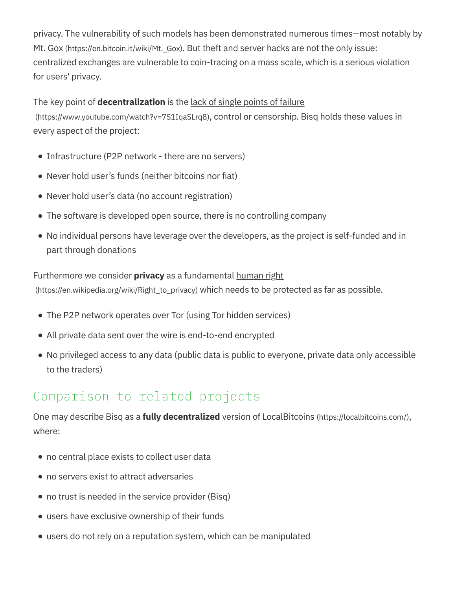privacy. The vulnerability of such models has been demonstrated numerous times—most notably by Mt. Gox (https://en.bitcoin.it/wiki/Mt. Gox). But theft and server hacks are not the only issue: centralized exchanges are vulnerable to coin-tracing on a mass scale, which is a serious violation for users' privacy.

The key point of **decentralization** is the lack of single points of failure

(https://www.youtube.com/watch?v=7S1IqaSLrq8), control or censorship. Bisq holds these values in every aspect of the project:

- Infrastructure (P2P network there are no servers)
- Never hold user's funds (neither bitcoins nor fiat)
- Never hold user's data (no account registration)
- The software is developed open source, there is no controlling company
- No individual persons have leverage over the developers, as the project is self-funded and in part through donations

Furthermore we consider **privacy** as a fundamental human right

(https://en.wikipedia.org/wiki/Right\_to\_privacy) which needs to be protected as far as possible.

- The P2P network operates over Tor (using Tor hidden services)
- All private data sent over the wire is end-to-end encrypted
- No privileged access to any data (public data is public to everyone, private data only accessible to the traders)

# Comparison to related projects

One may describe Bisq as a **fully decentralized** version of **LocalBitcoins** (https://localbitcoins.com/), where:

- no central place exists to collect user data
- no servers exist to attract adversaries
- no trust is needed in the service provider (Bisq)
- users have exclusive ownership of their funds
- users do not rely on a reputation system, which can be manipulated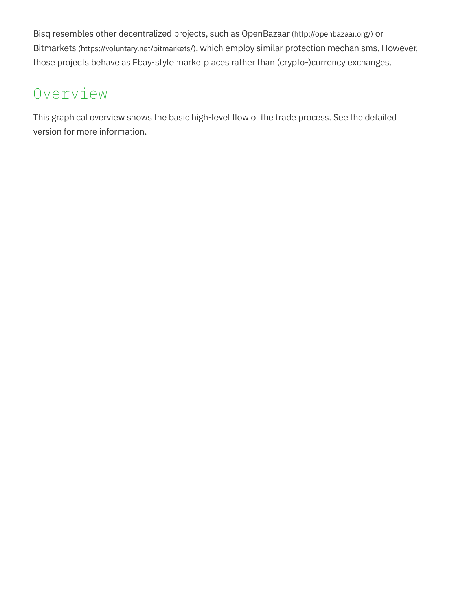Bisq resembles other decentralized projects, such as OpenBazaar (http://openbazaar.org/) or Bitmarkets (https://voluntary.net/bitmarkets/), which employ similar protection mechanisms. However, those projects behave as Ebay-style marketplaces rather than (crypto-)currency exchanges.

# Overview

This graphical overview shows the basic high-level flow of the trade process. See the detailed version for more information.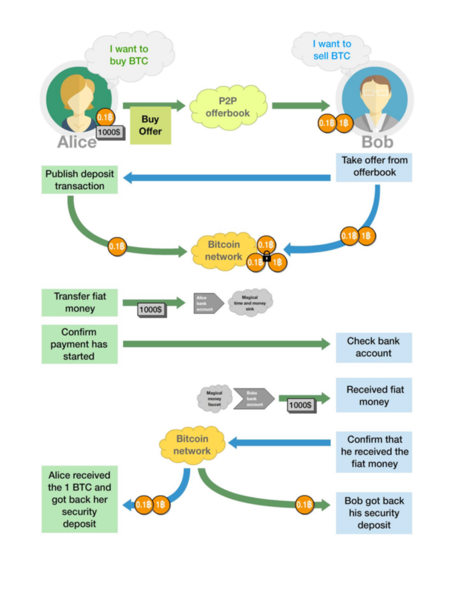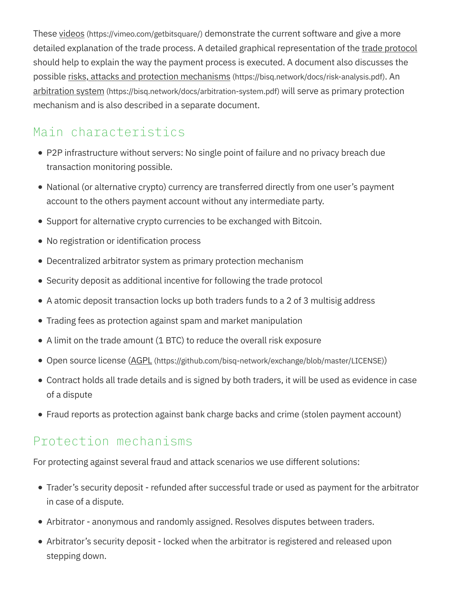These videos (https://vimeo.com/getbitsquare/) demonstrate the current software and give a more detailed explanation of the trade process. A detailed graphical representation of the trade protocol should help to explain the way the payment process is executed. A document also discusses the possible risks, attacks and protection mechanisms (https://bisq.network/docs/risk-analysis.pdf). An arbitration system (https://bisq.network/docs/arbitration-system.pdf) will serve as primary protection mechanism and is also described in a separate document.

# Main characteristics

- P2P infrastructure without servers: No single point of failure and no privacy breach due transaction monitoring possible.
- National (or alternative crypto) currency are transferred directly from one user's payment account to the others payment account without any intermediate party.
- Support for alternative crypto currencies to be exchanged with Bitcoin.
- No registration or identification process
- Decentralized arbitrator system as primary protection mechanism
- Security deposit as additional incentive for following the trade protocol
- A atomic deposit transaction locks up both traders funds to a 2 of 3 multisig address
- Trading fees as protection against spam and market manipulation
- A limit on the trade amount (1 BTC) to reduce the overall risk exposure
- Open source license (AGPL (https://github.com/bisq-network/exchange/blob/master/LICENSE))
- Contract holds all trade details and is signed by both traders, it will be used as evidence in case of a dispute
- Fraud reports as protection against bank charge backs and crime (stolen payment account)

### Protection mechanisms

For protecting against several fraud and attack scenarios we use different solutions:

- Trader's security deposit refunded after successful trade or used as payment for the arbitrator in case of a dispute.
- Arbitrator anonymous and randomly assigned. Resolves disputes between traders.
- Arbitrator's security deposit locked when the arbitrator is registered and released upon stepping down.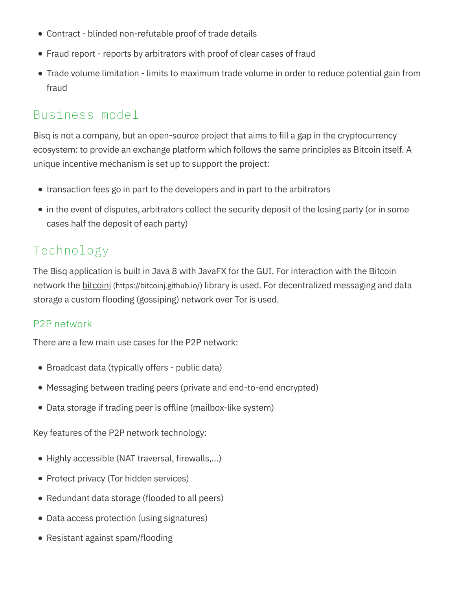- Contract blinded non-refutable proof of trade details
- Fraud report reports by arbitrators with proof of clear cases of fraud
- Trade volume limitation limits to maximum trade volume in order to reduce potential gain from fraud

## Business model

Bisq is not a company, but an open-source project that aims to fill a gap in the cryptocurrency ecosystem: to provide an exchange platform which follows the same principles as Bitcoin itself. A unique incentive mechanism is set up to support the project:

- transaction fees go in part to the developers and in part to the arbitrators
- $\bullet$  in the event of disputes, arbitrators collect the security deposit of the losing party (or in some cases half the deposit of each party)

### Technology

The Bisq application is built in Java 8 with JavaFX for the GUI. For interaction with the Bitcoin network the bitcoinj (https://bitcoinj.github.io/) library is used. For decentralized messaging and data storage a custom flooding (gossiping) network over Tor is used.

### P2P network

There are a few main use cases for the P2P network:

- Broadcast data (typically offers public data)
- Messaging between trading peers (private and end-to-end encrypted)
- Data storage if trading peer is offline (mailbox-like system)

Key features of the P2P network technology:

- Highly accessible (NAT traversal, firewalls,…)
- Protect privacy (Tor hidden services)
- Redundant data storage (flooded to all peers)
- Data access protection (using signatures)
- Resistant against spam/flooding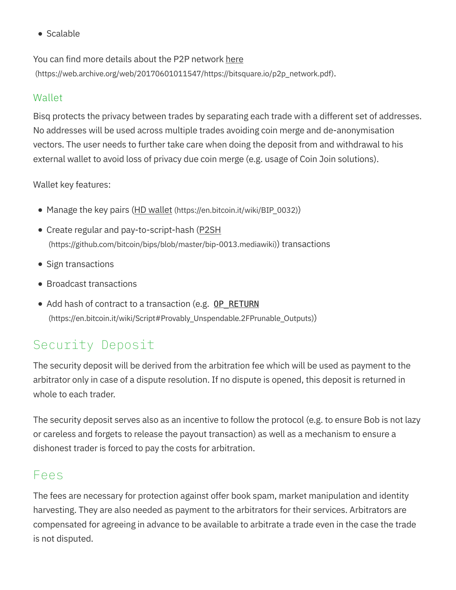• Scalable

You can find more details about the P2P network here (https://web.archive.org/web/20170601011547/https://bitsquare.io/p2p\_network.pdf).

#### Wallet

Bisq protects the privacy between trades by separating each trade with a different set of addresses. No addresses will be used across multiple trades avoiding coin merge and de-anonymisation vectors. The user needs to further take care when doing the deposit from and withdrawal to his external wallet to avoid loss of privacy due coin merge (e.g. usage of Coin Join solutions).

Wallet key features:

- Manage the key pairs (HD wallet (https://en.bitcoin.it/wiki/BIP\_0032))
- Create regular and pay-to-script-hash (P2SH (https://github.com/bitcoin/bips/blob/master/bip-0013.mediawiki)) transactions
- Sign transactions
- Broadcast transactions
- Add hash of contract to a transaction (e.g. OP\_RETURN (https://en.bitcoin.it/wiki/Script#Provably\_Unspendable.2FPrunable\_Outputs))

# Security Deposit

The security deposit will be derived from the arbitration fee which will be used as payment to the arbitrator only in case of a dispute resolution. If no dispute is opened, this deposit is returned in whole to each trader.

The security deposit serves also as an incentive to follow the protocol (e.g. to ensure Bob is not lazy or careless and forgets to release the payout transaction) as well as a mechanism to ensure a dishonest trader is forced to pay the costs for arbitration.

### Fees

The fees are necessary for protection against offer book spam, market manipulation and identity harvesting. They are also needed as payment to the arbitrators for their services. Arbitrators are compensated for agreeing in advance to be available to arbitrate a trade even in the case the trade is not disputed.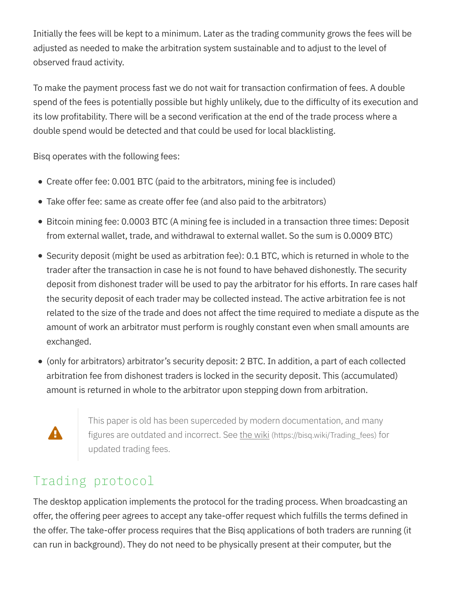Initially the fees will be kept to a minimum. Later as the trading community grows the fees will be adjusted as needed to make the arbitration system sustainable and to adjust to the level of observed fraud activity.

To make the payment process fast we do not wait for transaction confirmation of fees. A double spend of the fees is potentially possible but highly unlikely, due to the difficulty of its execution and its low profitability. There will be a second verification at the end of the trade process where a double spend would be detected and that could be used for local blacklisting.

Bisq operates with the following fees:

- Create offer fee: 0.001 BTC (paid to the arbitrators, mining fee is included)
- Take offer fee: same as create offer fee (and also paid to the arbitrators)
- Bitcoin mining fee: 0.0003 BTC (A mining fee is included in a transaction three times: Deposit from external wallet, trade, and withdrawal to external wallet. So the sum is 0.0009 BTC)
- Security deposit (might be used as arbitration fee): 0.1 BTC, which is returned in whole to the trader after the transaction in case he is not found to have behaved dishonestly. The security deposit from dishonest trader will be used to pay the arbitrator for his efforts. In rare cases half the security deposit of each trader may be collected instead. The active arbitration fee is not related to the size of the trade and does not affect the time required to mediate a dispute as the amount of work an arbitrator must perform is roughly constant even when small amounts are exchanged.
- (only for arbitrators) arbitrator's security deposit: 2 BTC. In addition, a part of each collected arbitration fee from dishonest traders is locked in the security deposit. This (accumulated) amount is returned in whole to the arbitrator upon stepping down from arbitration.

# $\blacktriangle$

This paper is old has been superceded by modern documentation, and many figures are outdated and incorrect. See the wiki (https://bisq.wiki/Trading\_fees) for updated trading fees.

# Trading protocol

The desktop application implements the protocol for the trading process. When broadcasting an offer, the offering peer agrees to accept any take-offer request which fulfills the terms defined in the offer. The take-offer process requires that the Bisq applications of both traders are running (it can run in background). They do not need to be physically present at their computer, but the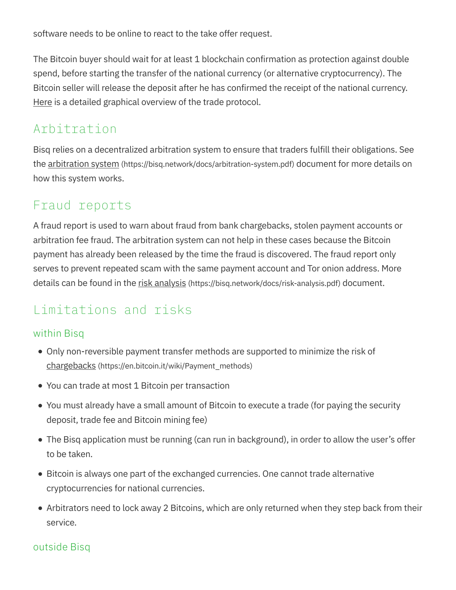software needs to be online to react to the take offer request.

The Bitcoin buyer should wait for at least 1 blockchain confirmation as protection against double spend, before starting the transfer of the national currency (or alternative cryptocurrency). The Bitcoin seller will release the deposit after he has confirmed the receipt of the national currency. Here is a detailed graphical overview of the trade protocol.

## Arbitration

Bisq relies on a decentralized arbitration system to ensure that traders fulfill their obligations. See the arbitration system (https://bisq.network/docs/arbitration-system.pdf) document for more details on how this system works.

# Fraud reports

A fraud report is used to warn about fraud from bank chargebacks, stolen payment accounts or arbitration fee fraud. The arbitration system can not help in these cases because the Bitcoin payment has already been released by the time the fraud is discovered. The fraud report only serves to prevent repeated scam with the same payment account and Tor onion address. More details can be found in the risk analysis (https://bisq.network/docs/risk-analysis.pdf) document.

# Limitations and risks

### within Bisq

- Only non-reversible payment transfer methods are supported to minimize the risk of chargebacks (https://en.bitcoin.it/wiki/Payment\_methods)
- You can trade at most 1 Bitcoin per transaction
- You must already have a small amount of Bitcoin to execute a trade (for paying the security deposit, trade fee and Bitcoin mining fee)
- The Bisq application must be running (can run in background), in order to allow the user's offer to be taken.
- Bitcoin is always one part of the exchanged currencies. One cannot trade alternative cryptocurrencies for national currencies.
- Arbitrators need to lock away 2 Bitcoins, which are only returned when they step back from their service.

### outside Bisq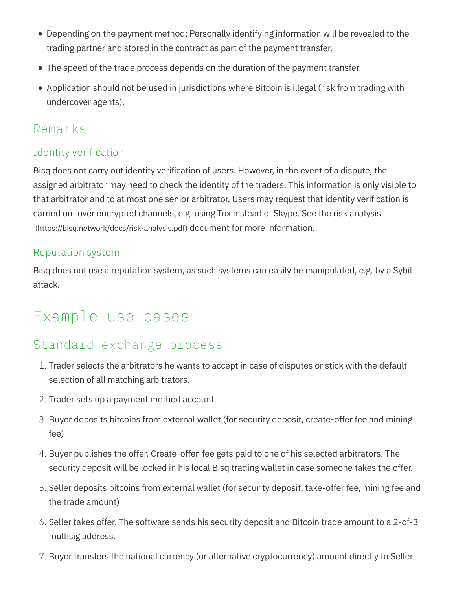- Depending on the payment method: Personally identifying information will be revealed to the trading partner and stored in the contract as part of the payment transfer.
- The speed of the trade process depends on the duration of the payment transfer.
- Application should not be used in jurisdictions where Bitcoin is illegal (risk from trading with undercover agents).

### Remarks

### Identity verification

Bisq does not carry out identity verification of users. However, in the event of a dispute, the assigned arbitrator may need to check the identity of the traders. This information is only visible to that arbitrator and to at most one senior arbitrator. Users may request that identity verification is carried out over encrypted channels, e.g. using Tox instead of Skype. See the risk analysis (https://bisq.network/docs/risk-analysis.pdf) document for more information.

### Reputation system

Bisq does not use a reputation system, as such systems can easily be manipulated, e.g. by a Sybil attack.

# Example use cases

# Standard exchange process

- 1. Trader selects the arbitrators he wants to accept in case of disputes or stick with the default selection of all matching arbitrators.
- 2. Trader sets up a payment method account.
- 3. Buyer deposits bitcoins from external wallet (for security deposit, create-offer fee and mining fee)
- 4. Buyer publishes the offer. Create-offer-fee gets paid to one of his selected arbitrators. The security deposit will be locked in his local Bisq trading wallet in case someone takes the offer.
- 5. Seller deposits bitcoins from external wallet (for security deposit, take-offer fee, mining fee and the trade amount)
- 6. Seller takes offer. The software sends his security deposit and Bitcoin trade amount to a 2-of-3 multisig address.
- 7. Buyer transfers the national currency (or alternative cryptocurrency) amount directly to Seller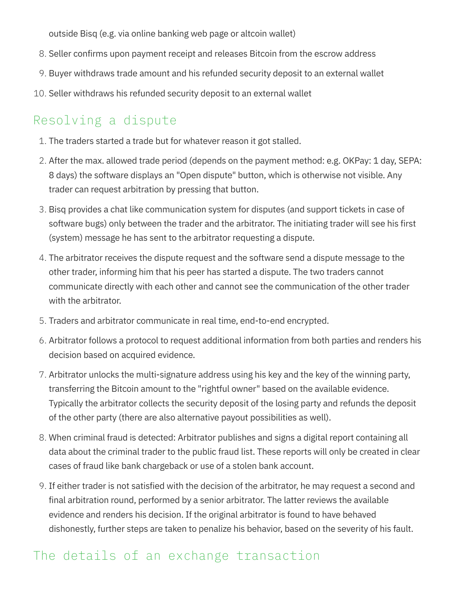outside Bisq (e.g. via online banking web page or altcoin wallet)

- 8. Seller confirms upon payment receipt and releases Bitcoin from the escrow address
- 9. Buyer withdraws trade amount and his refunded security deposit to an external wallet
- 10. Seller withdraws his refunded security deposit to an external wallet

# Resolving a dispute

- 1. The traders started a trade but for whatever reason it got stalled.
- 2. After the max. allowed trade period (depends on the payment method: e.g. OKPay: 1 day, SEPA: 8 days) the software displays an "Open dispute" button, which is otherwise not visible. Any trader can request arbitration by pressing that button.
- 3. Bisq provides a chat like communication system for disputes (and support tickets in case of software bugs) only between the trader and the arbitrator. The initiating trader will see his first (system) message he has sent to the arbitrator requesting a dispute.
- 4. The arbitrator receives the dispute request and the software send a dispute message to the other trader, informing him that his peer has started a dispute. The two traders cannot communicate directly with each other and cannot see the communication of the other trader with the arbitrator.
- 5. Traders and arbitrator communicate in real time, end-to-end encrypted.
- 6. Arbitrator follows a protocol to request additional information from both parties and renders his decision based on acquired evidence.
- 7. Arbitrator unlocks the multi-signature address using his key and the key of the winning party, transferring the Bitcoin amount to the "rightful owner" based on the available evidence. Typically the arbitrator collects the security deposit of the losing party and refunds the deposit of the other party (there are also alternative payout possibilities as well).
- 8. When criminal fraud is detected: Arbitrator publishes and signs a digital report containing all data about the criminal trader to the public fraud list. These reports will only be created in clear cases of fraud like bank chargeback or use of a stolen bank account.
- 9. If either trader is not satisfied with the decision of the arbitrator, he may request a second and final arbitration round, performed by a senior arbitrator. The latter reviews the available evidence and renders his decision. If the original arbitrator is found to have behaved dishonestly, further steps are taken to penalize his behavior, based on the severity of his fault.

# The details of an exchange transaction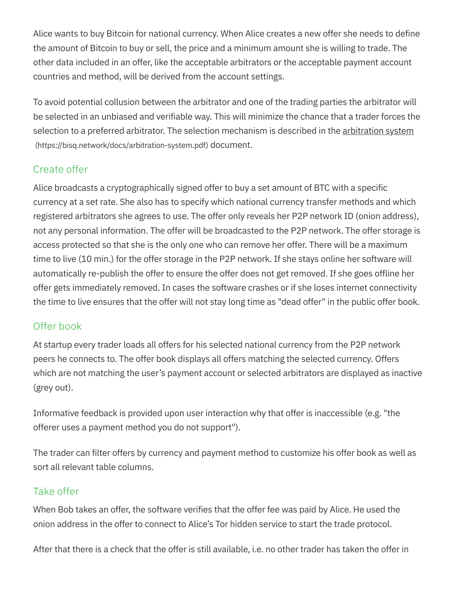Alice wants to buy Bitcoin for national currency. When Alice creates a new offer she needs to define the amount of Bitcoin to buy or sell, the price and a minimum amount she is willing to trade. The other data included in an offer, like the acceptable arbitrators or the acceptable payment account countries and method, will be derived from the account settings.

To avoid potential collusion between the arbitrator and one of the trading parties the arbitrator will be selected in an unbiased and verifiable way. This will minimize the chance that a trader forces the selection to a preferred arbitrator. The selection mechanism is described in the arbitration system (https://bisq.network/docs/arbitration-system.pdf) document.

### Create offer

Alice broadcasts a cryptographically signed offer to buy a set amount of BTC with a specific currency at a set rate. She also has to specify which national currency transfer methods and which registered arbitrators she agrees to use. The offer only reveals her P2P network ID (onion address), not any personal information. The offer will be broadcasted to the P2P network. The offer storage is access protected so that she is the only one who can remove her offer. There will be a maximum time to live (10 min.) for the offer storage in the P2P network. If she stays online her software will automatically re-publish the offer to ensure the offer does not get removed. If she goes offline her offer gets immediately removed. In cases the software crashes or if she loses internet connectivity the time to live ensures that the offer will not stay long time as "dead offer" in the public offer book.

#### Offer book

At startup every trader loads all offers for his selected national currency from the P2P network peers he connects to. The offer book displays all offers matching the selected currency. Offers which are not matching the user's payment account or selected arbitrators are displayed as inactive (grey out).

Informative feedback is provided upon user interaction why that offer is inaccessible (e.g. "the offerer uses a payment method you do not support").

The trader can filter offers by currency and payment method to customize his offer book as well as sort all relevant table columns.

#### Take offer

When Bob takes an offer, the software verifies that the offer fee was paid by Alice. He used the onion address in the offer to connect to Alice's Tor hidden service to start the trade protocol.

After that there is a check that the offer is still available, i.e. no other trader has taken the offer in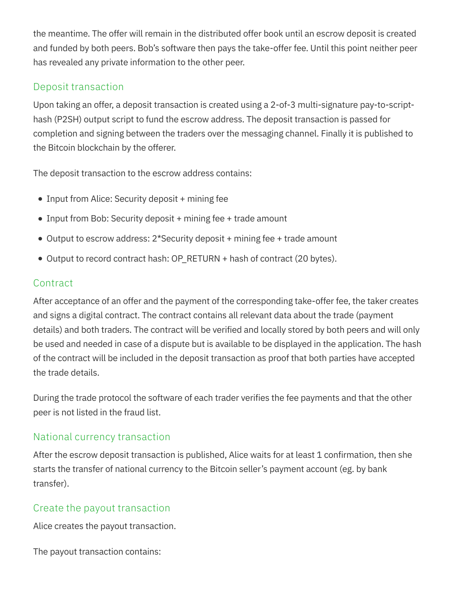the meantime. The offer will remain in the distributed offer book until an escrow deposit is created and funded by both peers. Bob's software then pays the take-offer fee. Until this point neither peer has revealed any private information to the other peer.

#### Deposit transaction

Upon taking an offer, a deposit transaction is created using a 2-of-3 multi-signature pay-to-scripthash (P2SH) output script to fund the escrow address. The deposit transaction is passed for completion and signing between the traders over the messaging channel. Finally it is published to the Bitcoin blockchain by the offerer.

The deposit transaction to the escrow address contains:

- Input from Alice: Security deposit + mining fee
- Input from Bob: Security deposit + mining fee + trade amount
- Output to escrow address: 2\*Security deposit + mining fee + trade amount
- Output to record contract hash: OP\_RETURN + hash of contract (20 bytes).

#### **Contract**

After acceptance of an offer and the payment of the corresponding take-offer fee, the taker creates and signs a digital contract. The contract contains all relevant data about the trade (payment details) and both traders. The contract will be verified and locally stored by both peers and will only be used and needed in case of a dispute but is available to be displayed in the application. The hash of the contract will be included in the deposit transaction as proof that both parties have accepted the trade details.

During the trade protocol the software of each trader verifies the fee payments and that the other peer is not listed in the fraud list.

### National currency transaction

After the escrow deposit transaction is published, Alice waits for at least 1 confirmation, then she starts the transfer of national currency to the Bitcoin seller's payment account (eg. by bank transfer).

#### Create the payout transaction

Alice creates the payout transaction.

The payout transaction contains: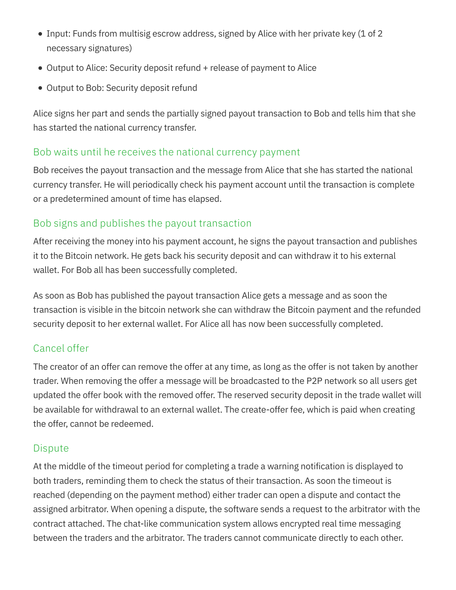- Input: Funds from multisig escrow address, signed by Alice with her private key (1 of 2 necessary signatures)
- Output to Alice: Security deposit refund + release of payment to Alice
- Output to Bob: Security deposit refund

Alice signs her part and sends the partially signed payout transaction to Bob and tells him that she has started the national currency transfer.

### Bob waits until he receives the national currency payment

Bob receives the payout transaction and the message from Alice that she has started the national currency transfer. He will periodically check his payment account until the transaction is complete or a predetermined amount of time has elapsed.

### Bob signs and publishes the payout transaction

After receiving the money into his payment account, he signs the payout transaction and publishes it to the Bitcoin network. He gets back his security deposit and can withdraw it to his external wallet. For Bob all has been successfully completed.

As soon as Bob has published the payout transaction Alice gets a message and as soon the transaction is visible in the bitcoin network she can withdraw the Bitcoin payment and the refunded security deposit to her external wallet. For Alice all has now been successfully completed.

### Cancel offer

The creator of an offer can remove the offer at any time, as long as the offer is not taken by another trader. When removing the offer a message will be broadcasted to the P2P network so all users get updated the offer book with the removed offer. The reserved security deposit in the trade wallet will be available for withdrawal to an external wallet. The create-offer fee, which is paid when creating the offer, cannot be redeemed.

### **Dispute**

At the middle of the timeout period for completing a trade a warning notification is displayed to both traders, reminding them to check the status of their transaction. As soon the timeout is reached (depending on the payment method) either trader can open a dispute and contact the assigned arbitrator. When opening a dispute, the software sends a request to the arbitrator with the contract attached. The chat-like communication system allows encrypted real time messaging between the traders and the arbitrator. The traders cannot communicate directly to each other.